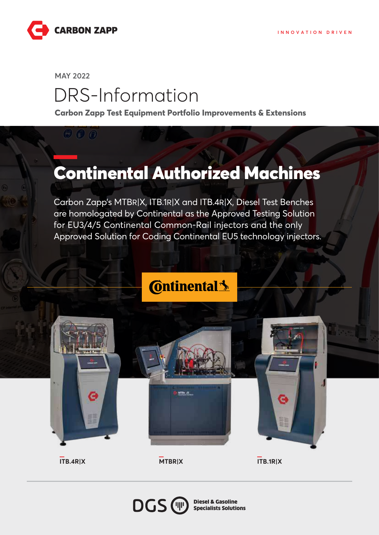

**MAY 2022**

 $\Theta$  $\boldsymbol{0}$  $\boldsymbol{0}$ 

## DRS-Information

**Carbon Zapp Test Equipment Portfolio Improvements & Extensions**

## Continental Authorized Machines

Carbon Zapp's MTBR|X, ITB.1R|X and ITB.4R|X, Diesel Test Benches are homologated by Continental as the Approved Testing Solution for EU3/4/5 Continental Common-Rail injectors and the only Approved Solution for Coding Continental EU5 technology injectors.

## **Continental**<sup>1</sup>



**ITB.4R|X MTBR|X ITB.1R|X**



Diesel & Gasoline Specialists Solutions